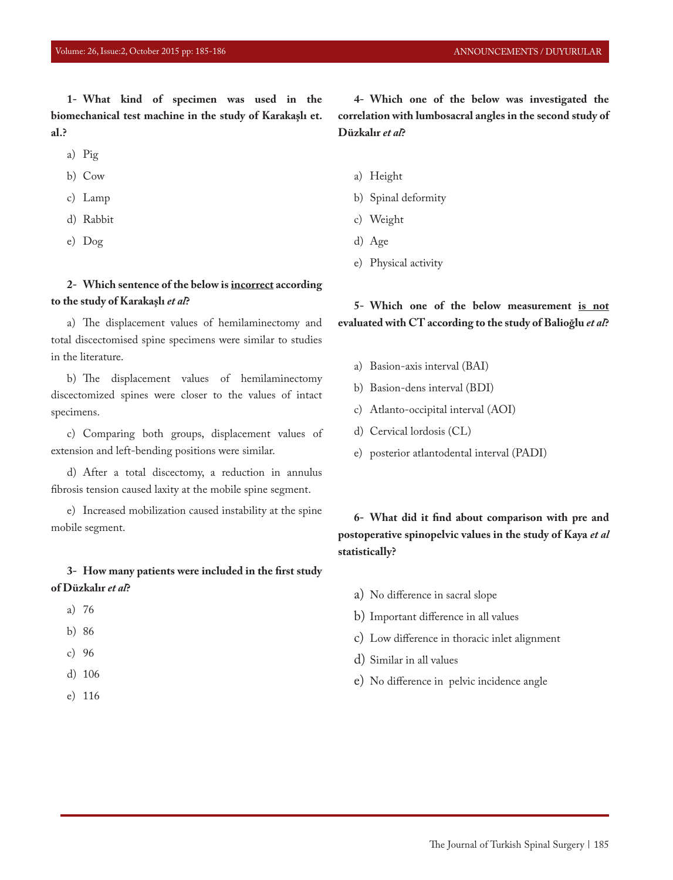**1- What kind of specimen was used in the biomechanical test machine in the study of Karakaşlı et. al.?**

- a) Pig
- b) Cow
- c) Lamp
- d) Rabbit
- e) Dog

### **2- Which sentence of the below is incorrect according to the study of Karakaşlı** *et al***?**

a) The displacement values of hemilaminectomy and total discectomised spine specimens were similar to studies in the literature.

b) The displacement values of hemilaminectomy discectomized spines were closer to the values of intact specimens.

c) Comparing both groups, displacement values of extension and left-bending positions were similar.

d) After a total discectomy, a reduction in annulus fibrosis tension caused laxity at the mobile spine segment.

e) Increased mobilization caused instability at the spine mobile segment.

## **3- How many patients were included in the first study of Düzkalır** *et al***?**

- a) 76
- b) 86
- c) 96
- d) 106
- e) 116

**4- Which one of the below was investigated the correlation with lumbosacral angles in the second study of Düzkalır** *et al***?**

- a) Height
- b) Spinal deformity
- c) Weight
- d) Age
- e) Physical activity

## **5- Which one of the below measurement is not evaluated with CT according to the study of Balioğlu** *et al***?**

- a) Basion-axis interval (BAI)
- b) Basion-dens interval (BDI)
- c) Atlanto-occipital interval (AOI)
- d) Cervical lordosis (CL)
- e) posterior atlantodental interval (PADI)

## **6- What did it find about comparison with pre and postoperative spinopelvic values in the study of Kaya** *et al* **statistically?**

- a) No difference in sacral slope
- b) Important difference in all values
- c) Low difference in thoracic inlet alignment
- d) Similar in all values
- e) No difference in pelvic incidence angle